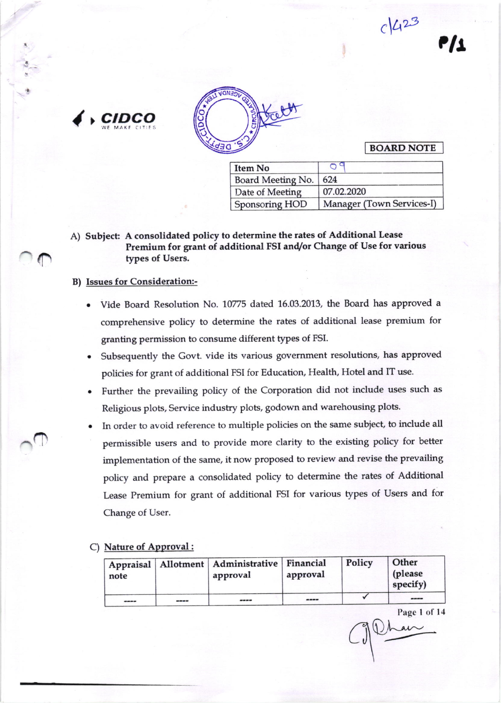$c^{1/23}$ 

**e/1** 





## BOARD NOTE

| <b>Item No</b>          |                           |  |  |
|-------------------------|---------------------------|--|--|
| Board Meeting No.   624 |                           |  |  |
| Date of Meeting         | 07.02.2020                |  |  |
| Sponsoring HOD          | Manager (Town Services-I) |  |  |

#### $\bigcirc$   $\bigcirc$   $\bigcirc$ A) Subject: A consolidated policy to determine the rates of Additional Lease Premium for grant of additional FSI and/or Change of Use for various types of Users.

# B) Issues for Consideration:

- Vide Board Resolution No. 10775 dated 16.03.2013, the Board has approved a comprehensive policy to determine the rates of additional lease premium for granting permission to consume different types of FSL
- Subsequently the Govt. vide its various government resolutions, has approved policies for grant of additional FSI for Education, Health, Hotel and IT use.
- . Further the prevailing policy of the Corporation did not include uses such as Religious plots, Service industry plots, godown and warehousing plots.
- In order to avoid reference to multiple policies on the same subject, to include all permissible users and to provide more clarity to the existing policy for better implementation of the same, it now proposed to review and revise the prevailing policy and prepare a consolidated policy to determine the rates of Additional Lease Premium for grant of additional FSI for various types of Users and for Change of User.

## C) Nature of Approval :

l

| note |      | Appraisal   Allotment   Administrative   Financial<br>approval | approval | Policy | Other<br>(please<br>specify) |
|------|------|----------------------------------------------------------------|----------|--------|------------------------------|
| ---- | ---- | ----                                                           | ----     |        | ----                         |

Page I of 14

Page 1 of